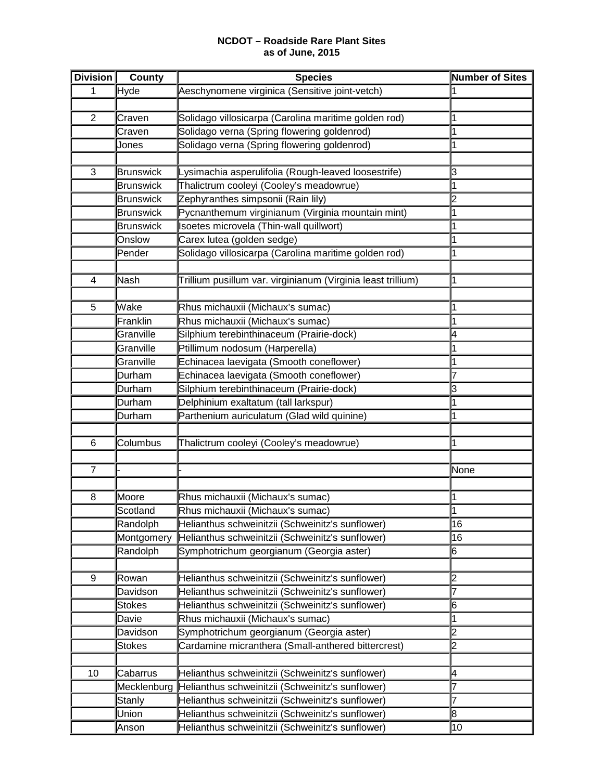## **NCDOT – Roadside Rare Plant Sites as of June, 2015**

| <b>Division</b> | County           | <b>Species</b>                                               | <b>Number of Sites</b>  |
|-----------------|------------------|--------------------------------------------------------------|-------------------------|
| 1               | Hyde             | Aeschynomene virginica (Sensitive joint-vetch)               | 1                       |
|                 |                  |                                                              |                         |
| $\overline{c}$  | Craven           | Solidago villosicarpa (Carolina maritime golden rod)         | 1                       |
|                 | Craven           | Solidago verna (Spring flowering goldenrod)                  | 1                       |
|                 | Jones            | Solidago verna (Spring flowering goldenrod)                  | 1                       |
|                 |                  |                                                              |                         |
| 3               | <b>Brunswick</b> | Lysimachia asperulifolia (Rough-leaved loosestrife)          | 3                       |
|                 | <b>Brunswick</b> | Thalictrum cooleyi (Cooley's meadowrue)                      | 1                       |
|                 | <b>Brunswick</b> | Zephyranthes simpsonii (Rain lily)                           | $\overline{c}$          |
|                 | <b>Brunswick</b> | Pycnanthemum virginianum (Virginia mountain mint)            | 1                       |
|                 | <b>Brunswick</b> | Isoetes microvela (Thin-wall quillwort)                      | 1                       |
|                 | Onslow           | Carex lutea (golden sedge)                                   | 1                       |
|                 | Pender           | Solidago villosicarpa (Carolina maritime golden rod)         | 1                       |
|                 |                  |                                                              |                         |
| 4               | <b>Nash</b>      | Trillium pusillum var. virginianum (Virginia least trillium) | 1                       |
|                 |                  |                                                              |                         |
| 5               | Wake             | Rhus michauxii (Michaux's sumac)                             | 1                       |
|                 | Franklin         | Rhus michauxii (Michaux's sumac)                             | 1                       |
|                 | Granville        | Silphium terebinthinaceum (Prairie-dock)                     | 4                       |
|                 | Granville        | Ptillimum nodosum (Harperella)                               | 1                       |
|                 | Granville        | Echinacea laevigata (Smooth coneflower)                      | 1                       |
|                 | Durham           | Echinacea laevigata (Smooth coneflower)                      | 7                       |
|                 | Durham           | Silphium terebinthinaceum (Prairie-dock)                     | þЗ                      |
|                 | Durham           | Delphinium exaltatum (tall larkspur)                         | 1                       |
|                 | Durham           | Parthenium auriculatum (Glad wild quinine)                   | 1                       |
|                 |                  |                                                              |                         |
| 6               | Columbus         | Thalictrum cooleyi (Cooley's meadowrue)                      | 1                       |
|                 |                  |                                                              |                         |
| $\overline{7}$  |                  |                                                              | None                    |
|                 |                  |                                                              |                         |
| 8               | Moore            | Rhus michauxii (Michaux's sumac)                             | 1                       |
|                 | Scotland         | Rhus michauxii (Michaux's sumac)                             | 1                       |
|                 | Randolph         | Helianthus schweinitzii (Schweinitz's sunflower)             | 16                      |
|                 | Montgomery       | Helianthus schweinitzii (Schweinitz's sunflower)             | 16                      |
|                 | Randolph         | Symphotrichum georgianum (Georgia aster)                     | 6                       |
|                 |                  |                                                              |                         |
| 9               | Rowan            | Helianthus schweinitzii (Schweinitz's sunflower)             | $\overline{\mathbf{c}}$ |
|                 | Davidson         | Helianthus schweinitzii (Schweinitz's sunflower)             | 7                       |
|                 | <b>Stokes</b>    | Helianthus schweinitzii (Schweinitz's sunflower)             | 6                       |
|                 | Davie            | Rhus michauxii (Michaux's sumac)                             | 1                       |
|                 | Davidson         | Symphotrichum georgianum (Georgia aster)                     | $\overline{c}$          |
|                 | <b>Stokes</b>    | Cardamine micranthera (Small-anthered bittercrest)           | $\overline{c}$          |
|                 |                  |                                                              |                         |
| 10              | Cabarrus         | Helianthus schweinitzii (Schweinitz's sunflower)             | 4                       |
|                 | Mecklenburg      | Helianthus schweinitzii (Schweinitz's sunflower)             | 7                       |
|                 | Stanly           | Helianthus schweinitzii (Schweinitz's sunflower)             | 7                       |
|                 | Union            | Helianthus schweinitzii (Schweinitz's sunflower)             | 8                       |
|                 |                  | Helianthus schweinitzii (Schweinitz's sunflower)             | 10                      |
|                 | Anson            |                                                              |                         |